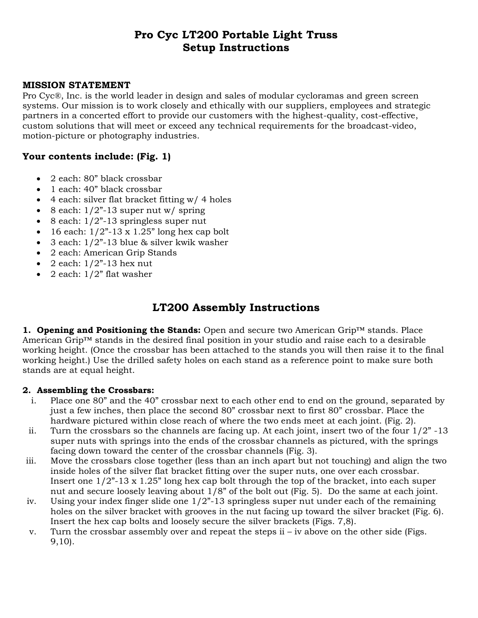# **Pro Cyc LT200 Portable Light Truss Setup Instructions**

### **MISSION STATEMENT**

Pro Cyc®, Inc. is the world leader in design and sales of modular cycloramas and green screen systems. Our mission is to work closely and ethically with our suppliers, employees and strategic partners in a concerted effort to provide our customers with the highest-quality, cost-effective, custom solutions that will meet or exceed any technical requirements for the broadcast-video, motion-picture or photography industries.

### **Your contents include: (Fig. 1)**

- 2 each: 80" black crossbar
- 1 each: 40" black crossbar
- $\bullet$  4 each: silver flat bracket fitting w/ 4 holes
- $\bullet$  8 each:  $1/2$ "-13 super nut w/ spring
- $\bullet$  8 each:  $1/2$ "-13 springless super nut
- $\bullet$  16 each:  $1/2$ "-13 x 1.25" long hex cap bolt
- 3 each: 1/2"-13 blue & silver kwik washer
- 2 each: American Grip Stands
- $\bullet$  2 each:  $1/2$ <sup>2</sup>-13 hex nut
- $\bullet$  2 each:  $1/2$ " flat washer

## **LT200 Assembly Instructions**

**1. Opening and Positioning the Stands:** Open and secure two American Grip™ stands. Place American Grip™ stands in the desired final position in your studio and raise each to a desirable working height. (Once the crossbar has been attached to the stands you will then raise it to the final working height.) Use the drilled safety holes on each stand as a reference point to make sure both stands are at equal height.

#### **2. Assembling the Crossbars:**

- i. Place one 80" and the 40" crossbar next to each other end to end on the ground, separated by just a few inches, then place the second 80" crossbar next to first 80" crossbar. Place the hardware pictured within close reach of where the two ends meet at each joint. (Fig. 2).
- ii. Turn the crossbars so the channels are facing up. At each joint, insert two of the four  $1/2$ " -13 super nuts with springs into the ends of the crossbar channels as pictured, with the springs facing down toward the center of the crossbar channels (Fig. 3).
- iii. Move the crossbars close together (less than an inch apart but not touching) and align the two inside holes of the silver flat bracket fitting over the super nuts, one over each crossbar. Insert one  $1/2$ "-13 x 1.25" long hex cap bolt through the top of the bracket, into each super nut and secure loosely leaving about 1/8" of the bolt out (Fig. 5). Do the same at each joint.
- iv. Using your index finger slide one  $1/2$ "-13 springless super nut under each of the remaining holes on the silver bracket with grooves in the nut facing up toward the silver bracket (Fig. 6). Insert the hex cap bolts and loosely secure the silver brackets (Figs. 7,8).
- v. Turn the crossbar assembly over and repeat the steps ii iv above on the other side (Figs. 9,10).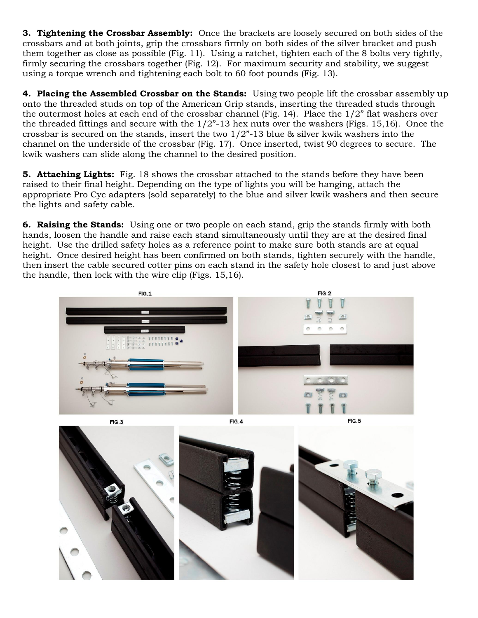**3. Tightening the Crossbar Assembly:** Once the brackets are loosely secured on both sides of the crossbars and at both joints, grip the crossbars firmly on both sides of the silver bracket and push them together as close as possible (Fig. 11). Using a ratchet, tighten each of the 8 bolts very tightly, firmly securing the crossbars together (Fig. 12). For maximum security and stability, we suggest using a torque wrench and tightening each bolt to 60 foot pounds (Fig. 13).

**4. Placing the Assembled Crossbar on the Stands:** Using two people lift the crossbar assembly up onto the threaded studs on top of the American Grip stands, inserting the threaded studs through the outermost holes at each end of the crossbar channel (Fig. 14). Place the 1/2" flat washers over the threaded fittings and secure with the  $1/2$ "-13 hex nuts over the washers (Figs. 15,16). Once the crossbar is secured on the stands, insert the two  $1/2$ "-13 blue & silver kwik washers into the channel on the underside of the crossbar (Fig. 17). Once inserted, twist 90 degrees to secure. The kwik washers can slide along the channel to the desired position.

**5. Attaching Lights:** Fig. 18 shows the crossbar attached to the stands before they have been raised to their final height. Depending on the type of lights you will be hanging, attach the appropriate Pro Cyc adapters (sold separately) to the blue and silver kwik washers and then secure the lights and safety cable.

**6. Raising the Stands:** Using one or two people on each stand, grip the stands firmly with both hands, loosen the handle and raise each stand simultaneously until they are at the desired final height. Use the drilled safety holes as a reference point to make sure both stands are at equal height. Once desired height has been confirmed on both stands, tighten securely with the handle, then insert the cable secured cotter pins on each stand in the safety hole closest to and just above the handle, then lock with the wire clip (Figs. 15,16).



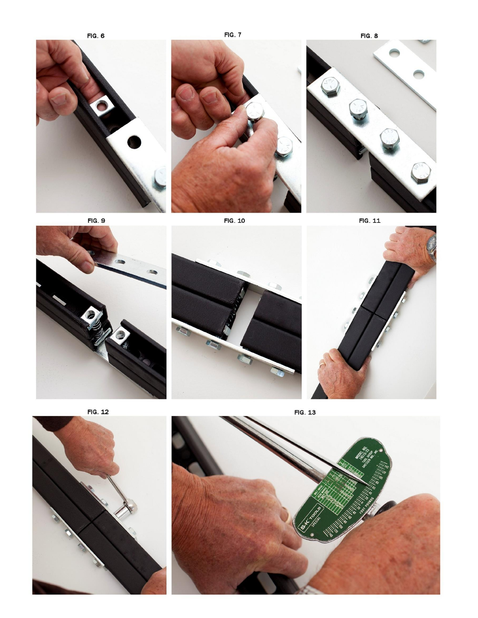**FIG. 6** 

**FIG. 7** 







FIG. 11







FIG. 12